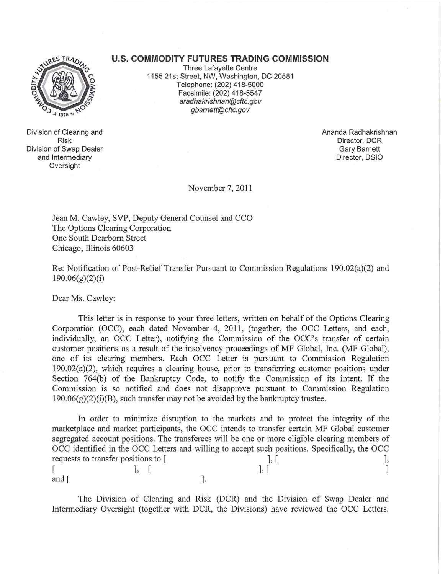## **U.S. COMMODITY FUTURES TRADING COMMISSION**



Division of Clearing and Risk Division of Swap Dealer and Intermediary **Oversight** 

Three Lafayette Centre 1155 21st Street, NW, Washington, DC 20581 Telephone: (202) 418-5000 Facsimile: (202) 418-5547 aradhakrishnan@cftc.gov gbarnett@cftc.gov

> Ananda Radhakrishnan Director, DCR Gary Barnett Director, DSIO

November 7,2011

Jean M. Cawley, SVP, Deputy General Counsel and CCO The Options Clearing Corporation One South Dearborn Street Chicago, Illinois 60603

Re: Notification of Post-Relief Transfer Pursuant to Commission Regulations 190.02(a)(2) and 190.06(g)(2)(i)

Dear Ms. Cawley:

This letter is in response to your three letters, written on behalf of the Options Clearing Corporation (OCC), each dated November 4, 2011, (together, the OCC Letters, and each, individually, an OCC Letter), notifying the Commission of the OCC's transfer of certain customer positions as a result of the insolvency proceedings of MF Global, Inc. (MF Global), one of its clearing members. Each OCC Letter is pursuant to Commission Regulation 190.02(a)(2), which requires a clearing house, prior to transferring customer positions under Section 764(b) of the Bankruptcy Code, to notify the Commission of its intent. If the Commission is so notified and does not disapprove pursuant to Commission Regulation  $190.06(g)(2)(i)(B)$ , such transfer may not be avoided by the bankruptcy trustee.

In order to minimize disruption to the markets and to protect the integrity of the marketplace and market participants, the OCC intends to transfer certain MF Global customer segregated account positions. The transferees will be one or more eligible clearing members of OCC identified in the OCC Letters and willing to accept such positions. Specifically, the OCC requests to transfer positions to [ ], [ ], [ [ ], [ ], [ ] and  $\lceil$   $\rceil$ .

The Division of Clearing and Risk (DCR) and the Division of Swap Dealer and Intermediary Oversight (together with DCR, the Divisions) have reviewed the OCC Letters.